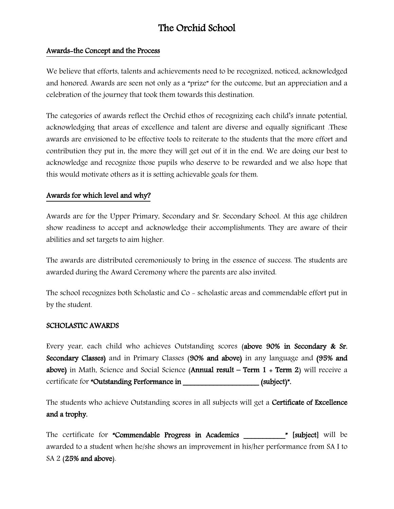# The Orchid School

#### Awards-the Concept and the Process

We believe that efforts, talents and achievements need to be recognized, noticed, acknowledged and honored. Awards are seen not only as a "prize" for the outcome, but an appreciation and a celebration of the journey that took them towards this destination.

The categories of awards reflect the Orchid ethos of recognizing each child's innate potential, acknowledging that areas of excellence and talent are diverse and equally significant .These awards are envisioned to be effective tools to reiterate to the students that the more effort and contribution they put in, the more they will get out of it in the end. We are doing our best to acknowledge and recognize those pupils who deserve to be rewarded and we also hope that this would motivate others as it is setting achievable goals for them.

#### Awards for which level and why?

Awards are for the Upper Primary, Secondary and Sr. Secondary School. At this age children show readiness to accept and acknowledge their accomplishments. They are aware of their abilities and set targets to aim higher.

The awards are distributed ceremoniously to bring in the essence of success. The students are awarded during the Award Ceremony where the parents are also invited.

The school recognizes both Scholastic and Co - scholastic areas and commendable effort put in by the student.

#### SCHOLASTIC AWARDS

Every year, each child who achieves Outstanding scores (above 90% in Secondary & Sr. Secondary Classes) and in Primary Classes (90% and above) in any language and (95% and above) in Math, Science and Social Science (Annual result – Term  $1 + Term 2$ ) will receive a certificate for "Outstanding Performance in \_\_\_\_\_\_\_\_\_\_\_\_\_\_\_\_\_\_\_\_\_(subject)".

The students who achieve Outstanding scores in all subjects will get a Certificate of Excellence and a trophy.

The certificate for "Commendable Progress in Academics " [subject] will be awarded to a student when he/she shows an improvement in his/her performance from SA I to SA 2 (25% and above).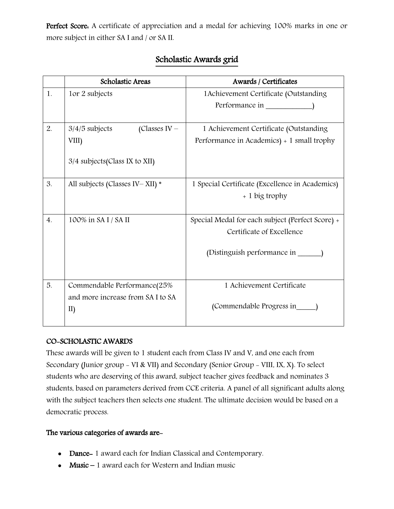Perfect Score. A certificate of appreciation and a medal for achieving 100% marks in one or more subject in either SA I and / or SA II.

|                  | <b>Scholastic Areas</b>             | Awards / Certificates                            |
|------------------|-------------------------------------|--------------------------------------------------|
| 1.               | 1or 2 subjects                      | 1 Achievement Certificate (Outstanding           |
|                  |                                     | Performance in                                   |
|                  |                                     |                                                  |
| 2.               | (Classes IV $-$<br>$3/4/5$ subjects | 1 Achievement Certificate (Outstanding           |
|                  | VIII)                               | Performance in Academics) + 1 small trophy       |
|                  | 3/4 subjects (Class IX to XII)      |                                                  |
|                  |                                     |                                                  |
| 3.               | All subjects (Classes IV-XII) *     | 1 Special Certificate (Excellence in Academics)  |
|                  |                                     | + 1 big trophy                                   |
|                  |                                     |                                                  |
| $\overline{4}$ . | 100% in SAI/SAII                    | Special Medal for each subject (Perfect Score) + |
|                  |                                     | Certificate of Excellence                        |
|                  |                                     | (Distinguish performance in                      |
|                  |                                     |                                                  |
|                  |                                     |                                                  |
| 5.               | Commendable Performance(25%         | 1 Achievement Certificate                        |
|                  | and more increase from SA I to SA   |                                                  |
|                  | II)                                 | (Commendable Progress in                         |
|                  |                                     |                                                  |

## Scholastic Awards grid

### CO-SCHOLASTIC AWARDS

These awards will be given to 1 student each from Class IV and V, and one each from Secondary (Junior group - VI & VII) and Secondary (Senior Group - VIII, IX, X). To select students who are deserving of this award, subject teacher gives feedback and nominates 3 students, based on parameters derived from CCE criteria. A panel of all significant adults along with the subject teachers then selects one student. The ultimate decision would be based on a democratic process.

### The various categories of awards are-

- Dance- 1 award each for Indian Classical and Contemporary.
- Music  $-1$  award each for Western and Indian music